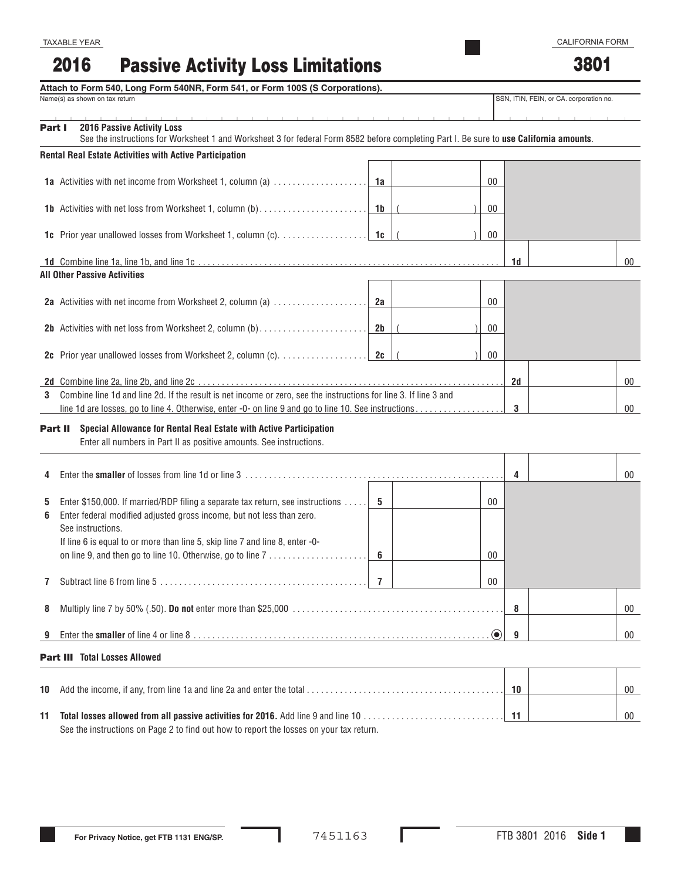| <b>Rental Real Estate Activities with Active Participation</b> |  |  |  |  |  |  |
|----------------------------------------------------------------|--|--|--|--|--|--|

|    | 1a Activities with net income from Worksheet 1, column (a)                                                                                                                                                               | 1a             |  | $00\,$                   |    |  |        |  |  |
|----|--------------------------------------------------------------------------------------------------------------------------------------------------------------------------------------------------------------------------|----------------|--|--------------------------|----|--|--------|--|--|
|    | 1b Activities with net loss from Worksheet 1, column (b)                                                                                                                                                                 | 1 <sub>b</sub> |  | $00\,$                   |    |  |        |  |  |
|    |                                                                                                                                                                                                                          | 1c             |  | $00\,$                   |    |  |        |  |  |
|    | <b>All Other Passive Activities</b>                                                                                                                                                                                      |                |  |                          | 1d |  | $00\,$ |  |  |
|    | 2a Activities with net income from Worksheet 2, column (a)                                                                                                                                                               | 2a             |  | $00\,$                   |    |  |        |  |  |
|    | 2b Activities with net loss from Worksheet 2, column (b)                                                                                                                                                                 | 2 <sub>b</sub> |  | $00\,$                   |    |  |        |  |  |
|    | 2c Prior year unallowed losses from Worksheet 2, column (c).                                                                                                                                                             | 2c             |  | $00\,$                   |    |  |        |  |  |
|    |                                                                                                                                                                                                                          |                |  |                          | 2d |  | $00\,$ |  |  |
| 3  | Combine line 1d and line 2d. If the result is net income or zero, see the instructions for line 3. If line 3 and<br>line 1d are losses, go to line 4. Otherwise, enter -0- on line 9 and go to line 10. See instructions |                |  |                          | 3  |  | $00\,$ |  |  |
|    | Part II Special Allowance for Rental Real Estate with Active Participation<br>Enter all numbers in Part II as positive amounts. See instructions.                                                                        |                |  |                          |    |  |        |  |  |
|    |                                                                                                                                                                                                                          |                |  |                          | 4  |  | $00\,$ |  |  |
| 5. | Enter \$150,000. If married/RDP filing a separate tax return, see instructions                                                                                                                                           | - 5            |  | 00                       |    |  |        |  |  |
| 6  | Enter federal modified adjusted gross income, but not less than zero.<br>See instructions.                                                                                                                               |                |  |                          |    |  |        |  |  |
|    | If line 6 is equal to or more than line 5, skip line 7 and line 8, enter -0-                                                                                                                                             | 6              |  | $00\,$                   |    |  |        |  |  |
| 7  |                                                                                                                                                                                                                          | $\overline{7}$ |  | $00\,$                   |    |  |        |  |  |
| 8  |                                                                                                                                                                                                                          | 8              |  | $00\,$                   |    |  |        |  |  |
|    |                                                                                                                                                                                                                          |                |  | $\left( \bullet \right)$ | 9  |  | 00     |  |  |
|    | <b>Part III</b> Total Losses Allowed                                                                                                                                                                                     |                |  |                          |    |  |        |  |  |

| <b>Part</b> | <b>2016 Passive Activity Loss</b>                                                                                                       |
|-------------|-----------------------------------------------------------------------------------------------------------------------------------------|
|             | See the instructions for Worksheet 1 and Worksheet 3 for federal Form 8582 before completing Part I. Be sure to use California amounts. |
|             | .<br>_ _ . _ _.                                                                                                                         |

Passive Activity Loss Limitations

**Attach to Form 540, Long Form 540NR, Form 541, or Form 100S (S Corporations).**

| <b>10</b> Add the income, if any, from line 1a and line 2a and enter the total $\ldots$ | 10 | 00 |
|-----------------------------------------------------------------------------------------|----|----|
| See the instructions on Page 2 to find out how to report the losses on your tax return. |    | 00 |

L



3801

2016

Name(s) as shown on tax return

SSN, ITIN, FEIN, or CA. corporation no.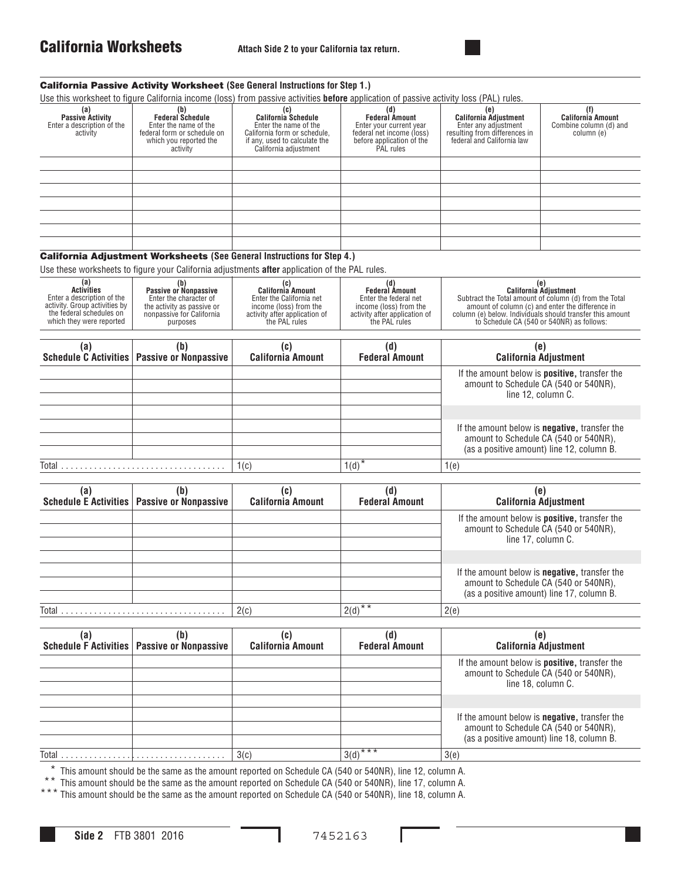

## California Passive Activity Worksheet **(See General Instructions for Step 1.)** Use this worksheet to figure California income (loss) from passive activities **before** application of passive activity loss (PAL) rules. California Adjustment Worksheets **(See General Instructions for Step 4.)** Use these worksheets to figure your California adjustments **after** application of the PAL rules. Total . . . . . . . . . . . . . . . . . . . . . . . . . . . . . . . . . . . 1(c) 1(d)\* 1(e) **(a) Passive Activity** Enter a description of the activity **(b) Federal Schedule** Enter the name of the federal form or schedule on which you reported the activity **(c) California Schedule** Enter the name of the California form or schedule, if any, used to calculate the California adjustment **(d) Federal Amount** Enter your current year federal net income (loss) before application of the PAL rules **(e) California Adjustment** Enter any adjustment resulting from differences in federal and California law **(f) California Amount** Combine column (d) and column (e) **(a) Activities** Enter a description of the activity. Group activities by the federal schedules on which they were reported **(b) Passive or Nonpassive** Enter the character of the activity as passive or nonpassive for California purposes **(c) California Amount** Enter the California net income (loss) from the activity after application of the PAL rules **(d) Federal Amount** Enter the federal net income (loss) from the activity after application of the PAL rules **(e) California Adjustment** Subtract the Total amount of column (d) from the Total amount of column (c) and enter the difference in column (e) below. Individuals should transfer this amount to Schedule CA (540 or 540NR) as follows: **(a) Schedule C Activities (b) Passive or Nonpassive (c) California Amount (d) Federal Amount (e) California Adjustment** If the amount below is **positive,** transfer the amount to Schedule CA (540 or 540NR), line 12, column C. If the amount below is **negative,** transfer the amount to Schedule CA (540 or 540NR), (as a positive amount) line 12, column B. **(a) Schedule E Activities (b) Passive or Nonpassive (c) California Amount (d) Federal Amount (e) California Adjustment** If the amount below is **positive,** transfer the amount to Schedule CA (540 or 540NR), line 17, column C.

Total . . . . . . . . . . . . . . . . . . . . . . . . . . . . . . . . . . . 2(c) 2(d)\*\* 2(e) If the amount below is **negative,** transfer the amount to Schedule CA (540 or 540NR), (as a positive amount) line 17, column B.

| (a    | (b<br>Schedule F Activities   Passive or Nonpassive | (c)<br><b>California Amount</b> | <b>Federal Amount</b> | (e)<br><b>California Adjustment</b>                                                                                  |  |  |
|-------|-----------------------------------------------------|---------------------------------|-----------------------|----------------------------------------------------------------------------------------------------------------------|--|--|
|       |                                                     |                                 |                       | If the amount below is <b>positive</b> , transfer the<br>amount to Schedule CA (540 or 540NR),<br>line 18, column C. |  |  |
|       |                                                     |                                 |                       | If the amount below is <b>negative</b> , transfer the<br>amount to Schedule CA (540 or 540NR),                       |  |  |
| Total |                                                     | 3(c)                            | $3(d)$ ***            | (as a positive amount) line 18, column B.<br>3(e)                                                                    |  |  |

This amount should be the same as the amount reported on Schedule CA (540 or 540NR), line 12, column A.

\*\* This amount should be the same as the amount reported on Schedule CA (540 or 540NR), line 17, column A.

\*\*\* This amount should be the same as the amount reported on Schedule CA (540 or 540NR), line 18, column A.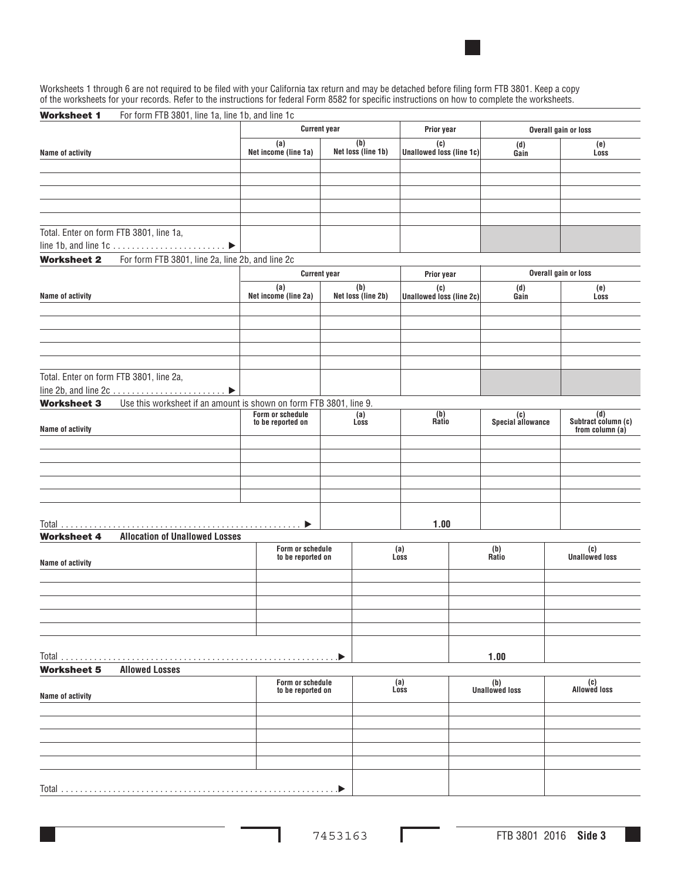

Worksheets 1 through 6 are not required to be filed with your California tax return and may be detached before filing form FTB 3801. Keep a copy of the worksheets for your records. Refer to the instructions for federal Form 8582 for specific instructions on how to complete the worksheets.

| <b>Worksheet 1</b><br>For form FTB 3801, line 1a, line 1b, and line 1c                   |                             |                                       |                           |                                        |                          |                            |
|------------------------------------------------------------------------------------------|-----------------------------|---------------------------------------|---------------------------|----------------------------------------|--------------------------|----------------------------|
|                                                                                          |                             | <b>Current year</b>                   |                           | Prior year                             |                          | Overall gain or loss       |
| Name of activity                                                                         | (a)<br>Net income (line 1a) |                                       | (b)<br>Net loss (line 1b) | (c)<br><b>Unallowed loss (line 1c)</b> | (d)<br>Gain              | (e)<br>Loss                |
|                                                                                          |                             |                                       |                           |                                        |                          |                            |
|                                                                                          |                             |                                       |                           |                                        |                          |                            |
|                                                                                          |                             |                                       |                           |                                        |                          |                            |
|                                                                                          |                             |                                       |                           |                                        |                          |                            |
|                                                                                          |                             |                                       |                           |                                        |                          |                            |
| Total. Enter on form FTB 3801, line 1a,                                                  |                             |                                       |                           |                                        |                          |                            |
|                                                                                          |                             |                                       |                           |                                        |                          |                            |
| For form FTB 3801, line 2a, line 2b, and line 2c<br><b>Worksheet 2</b>                   |                             |                                       |                           |                                        |                          |                            |
|                                                                                          |                             | <b>Current year</b>                   |                           | Prior year                             |                          | Overall gain or loss       |
| Name of activity                                                                         | (a)<br>Net income (line 2a) |                                       | (b)<br>Net loss (line 2b) | (c)<br><b>Unallowed loss (line 2c)</b> | (d)<br>Gain              | (e)<br>Loss                |
|                                                                                          |                             |                                       |                           |                                        |                          |                            |
|                                                                                          |                             |                                       |                           |                                        |                          |                            |
|                                                                                          |                             |                                       |                           |                                        |                          |                            |
|                                                                                          |                             |                                       |                           |                                        |                          |                            |
|                                                                                          |                             |                                       |                           |                                        |                          |                            |
| Total. Enter on form FTB 3801, line 2a,                                                  |                             |                                       |                           |                                        |                          |                            |
| line 2b, and line $2c \ldots \ldots \ldots \ldots \ldots \ldots$                         |                             |                                       |                           |                                        |                          |                            |
| Use this worksheet if an amount is shown on form FTB 3801, line 9.<br><b>Worksheet 3</b> |                             |                                       |                           |                                        |                          |                            |
|                                                                                          | Form or schedule            |                                       | (a)                       | (b)<br>Ratio                           | (c)<br>Special allowance | (d)<br>Subtract column (c) |
| Name of activity                                                                         | to be reported on           |                                       | Loss                      |                                        |                          | from column (a)            |
|                                                                                          |                             |                                       |                           |                                        |                          |                            |
|                                                                                          |                             |                                       |                           |                                        |                          |                            |
|                                                                                          |                             |                                       |                           |                                        |                          |                            |
|                                                                                          |                             |                                       |                           |                                        |                          |                            |
|                                                                                          |                             |                                       |                           |                                        |                          |                            |
|                                                                                          |                             |                                       |                           |                                        |                          |                            |
|                                                                                          |                             | ▶                                     |                           | 1.00                                   |                          |                            |
| <b>Allocation of Unallowed Losses</b><br><b>Worksheet 4</b>                              |                             |                                       |                           |                                        |                          |                            |
|                                                                                          |                             | Form or schedule<br>to be reported on |                           | (a)<br>Loss                            | (b)<br>Ratio             | (c)<br>Unallowed loss      |
| Name of activity                                                                         |                             |                                       |                           |                                        |                          |                            |
|                                                                                          |                             |                                       |                           |                                        |                          |                            |
|                                                                                          |                             |                                       |                           |                                        |                          |                            |
|                                                                                          |                             |                                       |                           |                                        |                          |                            |
|                                                                                          |                             |                                       |                           |                                        |                          |                            |
|                                                                                          |                             |                                       |                           |                                        |                          |                            |
|                                                                                          |                             |                                       |                           |                                        |                          |                            |
|                                                                                          |                             |                                       |                           |                                        | 1.00                     |                            |
| <b>Allowed Losses</b><br><b>Worksheet 5</b>                                              |                             |                                       |                           |                                        |                          |                            |
|                                                                                          |                             | Form or schedule<br>to be reported on |                           | (a)<br>Loss                            | (b)<br>Unallowed loss    | (c)<br>Allowed loss        |
| Name of activity                                                                         |                             |                                       |                           |                                        |                          |                            |
|                                                                                          |                             |                                       |                           |                                        |                          |                            |
|                                                                                          |                             |                                       |                           |                                        |                          |                            |
|                                                                                          |                             |                                       |                           |                                        |                          |                            |
|                                                                                          |                             |                                       |                           |                                        |                          |                            |
|                                                                                          |                             |                                       |                           |                                        |                          |                            |
| Total                                                                                    |                             | . D                                   |                           |                                        |                          |                            |
|                                                                                          |                             |                                       |                           |                                        |                          |                            |